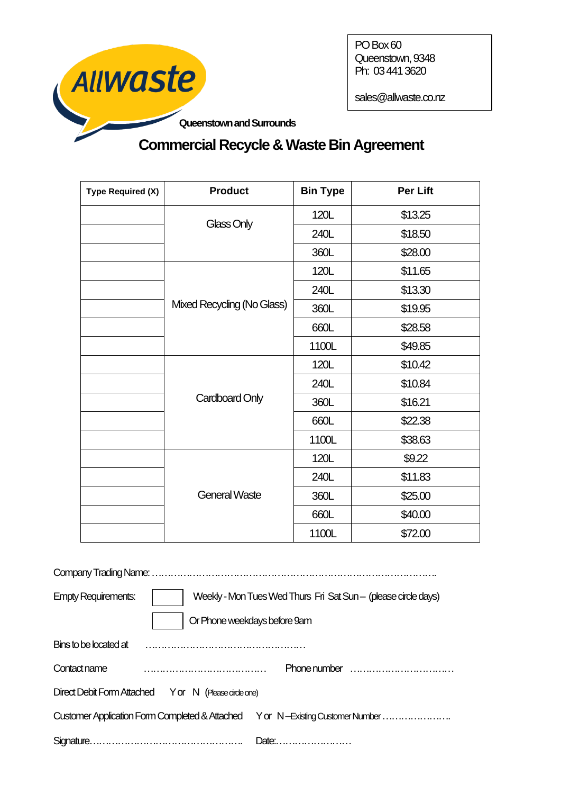

PO Box 60 Queenstown, 9348 Ph: 034413620

sales@allwaste.co.nz

# **Commercial Recycle & Waste Bin Agreement**

| <b>Type Required (X)</b> | <b>Product</b>             | <b>Bin Type</b> | <b>Per Lift</b> |
|--------------------------|----------------------------|-----------------|-----------------|
|                          | Glass Only                 | 120L            | \$13.25         |
|                          |                            | 240L            | \$18.50         |
|                          |                            | 360L            | \$28.00         |
|                          | Mixed Recycling (No Glass) | 120L            | \$11.65         |
|                          |                            | 240L            | \$13.30         |
|                          |                            | 360L            | \$19.95         |
|                          |                            | 660L            | \$28.58         |
|                          |                            | 1100L           | \$49.85         |
|                          | Cardboard Only             | 120L            | \$10.42         |
|                          |                            | 240L            | \$10.84         |
|                          |                            | 360L            | \$16.21         |
|                          |                            | 660L            | \$22.38         |
|                          |                            | 1100L           | \$38.63         |
|                          | <b>General Waste</b>       | 120L            | \$9.22          |
|                          |                            | 240L            | \$11.83         |
|                          |                            | 360L            | \$25.00         |
|                          |                            | 660L            | \$40.00         |
|                          |                            | 1100L           | \$72.00         |

Company Trading Name: ……………………………………………………………………………….

| <b>Empty Requirements:</b>                           | Weekly - Mon Tues Wed Thurs Fri Sat Sun - (please circle days) |                                                                               |  |
|------------------------------------------------------|----------------------------------------------------------------|-------------------------------------------------------------------------------|--|
|                                                      |                                                                | Or Phone weekdays before 9am                                                  |  |
| Bins to be located at                                |                                                                |                                                                               |  |
| Contact name                                         |                                                                | Phone number $\ldots$                                                         |  |
| Direct Debit Form Attached Yor N (Please circle one) |                                                                |                                                                               |  |
|                                                      |                                                                | Customer Application Form Completed & Attached Yor N—Existing Customer Number |  |
|                                                      |                                                                | Date:                                                                         |  |